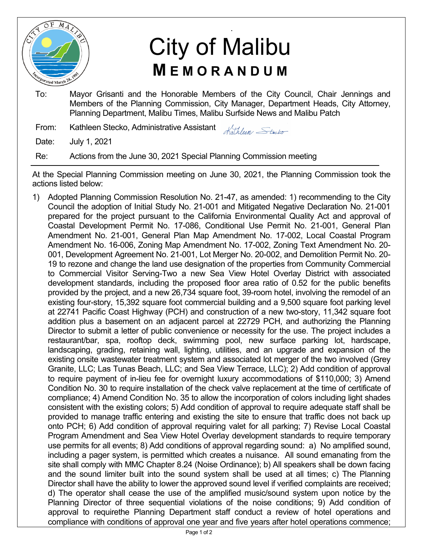

## . City of Malibu **M E M O R A N D U M**

To: Mayor Grisanti and the Honorable Members of the City Council, Chair Jennings and Members of the Planning Commission, City Manager, Department Heads, City Attorney, Planning Department, Malibu Times, Malibu Surfside News and Malibu Patch

From: Kathleen Stecko, Administrative Assistant Kathleen Stecko

Date: July 1, 2021

Re: Actions from the June 30, 2021 Special Planning Commission meeting

At the Special Planning Commission meeting on June 30, 2021, the Planning Commission took the actions listed below:

1) Adopted Planning Commission Resolution No. 21-47, as amended: 1) recommending to the City Council the adoption of Initial Study No. 21-001 and Mitigated Negative Declaration No. 21-001 prepared for the project pursuant to the California Environmental Quality Act and approval of Coastal Development Permit No. 17-086, Conditional Use Permit No. 21-001, General Plan Amendment No. 21-001, General Plan Map Amendment No. 17-002, Local Coastal Program Amendment No. 16-006, Zoning Map Amendment No. 17-002, Zoning Text Amendment No. 20- 001, Development Agreement No. 21-001, Lot Merger No. 20-002, and Demolition Permit No. 20- 19 to rezone and change the land use designation of the properties from Community Commercial to Commercial Visitor Serving-Two a new Sea View Hotel Overlay District with associated development standards, including the proposed floor area ratio of 0.52 for the public benefits provided by the project, and a new 26,734 square foot, 39-room hotel, involving the remodel of an existing four-story, 15,392 square foot commercial building and a 9,500 square foot parking level at 22741 Pacific Coast Highway (PCH) and construction of a new two-story, 11,342 square foot addition plus a basement on an adjacent parcel at 22729 PCH, and authorizing the Planning Director to submit a letter of public convenience or necessity for the use. The project includes a restaurant/bar, spa, rooftop deck, swimming pool, new surface parking lot, hardscape, landscaping, grading, retaining wall, lighting, utilities, and an upgrade and expansion of the existing onsite wastewater treatment system and associated lot merger of the two involved (Grey Granite, LLC; Las Tunas Beach, LLC; and Sea View Terrace, LLC); 2) Add condition of approval to require payment of in-lieu fee for overnight luxury accommodations of \$110,000; 3) Amend Condition No. 30 to require installation of the check valve replacement at the time of certificate of compliance; 4) Amend Condition No. 35 to allow the incorporation of colors including light shades consistent with the existing colors; 5) Add condition of approval to require adequate staff shall be provided to manage traffic entering and existing the site to ensure that traffic does not back up onto PCH; 6) Add condition of approval requiring valet for all parking; 7) Revise Local Coastal Program Amendment and Sea View Hotel Overlay development standards to require temporary use permits for all events; 8) Add conditions of approval regarding sound: a) No amplified sound, including a pager system, is permitted which creates a nuisance. All sound emanating from the site shall comply with MMC Chapter 8.24 (Noise Ordinance); b) All speakers shall be down facing and the sound limiter built into the sound system shall be used at all times; c) The Planning Director shall have the ability to lower the approved sound level if verified complaints are received; d) The operator shall cease the use of the amplified music/sound system upon notice by the Planning Director of three sequential violations of the noise conditions; 9) Add condition of approval to requirethe Planning Department staff conduct a review of hotel operations and compliance with conditions of approval one year and five years after hotel operations commence;